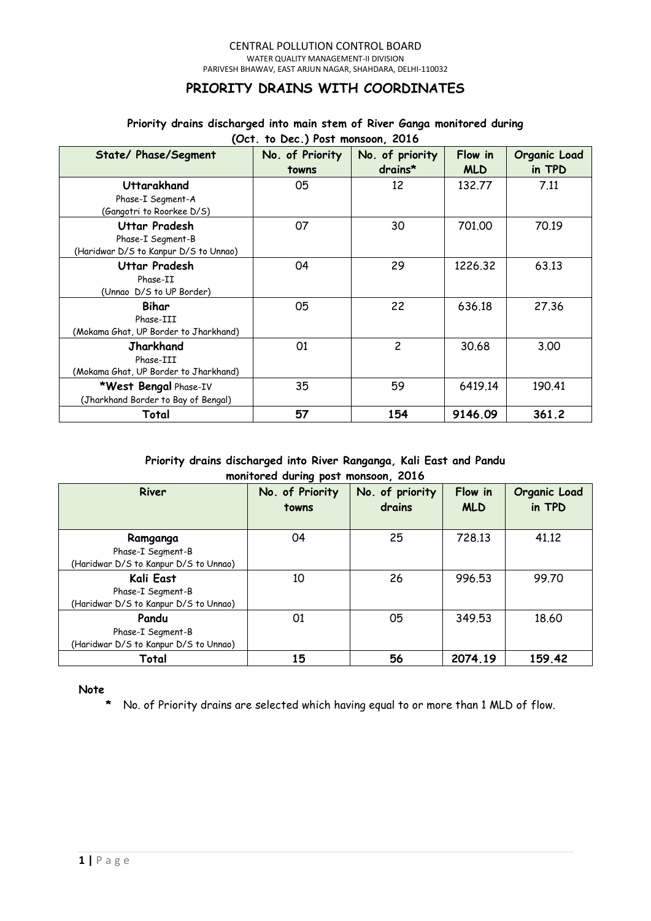#### CENTRAL POLLUTION CONTROL BOARD WATER QUALITY MANAGEMENT-II DIVISION PARIVESH BHAWAV, EAST ARJUN NAGAR, SHAHDARA, DELHI-110032

# **PRIORITY DRAINS WITH COORDINATES**

#### **Priority drains discharged into main stem of River Ganga monitored during (Oct. to Dec.) Post monsoon, 2016**

| <b>State/ Phase/Segment</b>                                                        | $\overline{C}$ (OCT. TO DEC.) TOST MONSOON, EQIO<br>No. of Priority | No. of priority | Flow in    | Organic Load |
|------------------------------------------------------------------------------------|---------------------------------------------------------------------|-----------------|------------|--------------|
|                                                                                    | towns                                                               | $drains*$       | <b>MLD</b> | in TPD       |
| Uttarakhand<br>Phase-I Segment-A<br>(Gangotri to Roorkee D/S)                      | 05                                                                  | 12              | 132,77     | 7.11         |
| <b>Uttar Pradesh</b><br>Phase-I Segment-B<br>(Haridwar D/S to Kanpur D/S to Unnao) | 07                                                                  | 30              | 701,00     | 70.19        |
| Uttar Pradesh<br>Phase-II<br>(Unnao D/S to UP Border)                              | 04                                                                  | 29              | 1226.32    | 63.13        |
| Bihar<br>Phase-III<br>(Mokama Ghat, UP Border to Jharkhand)                        | 05                                                                  | 22              | 636.18     | 27,36        |
| <b>Jharkhand</b><br>Phase-III<br>(Mokama Ghat, UP Border to Jharkhand)             | 01                                                                  | $\overline{c}$  | 30.68      | 3.00         |
| *West Bengal Phase-IV<br>(Jharkhand Border to Bay of Bengal)                       | 35                                                                  | 59              | 6419.14    | 190.41       |
| Total                                                                              | 57                                                                  | 154             | 9146.09    | 361.2        |

### **Priority drains discharged into River Ranganga, Kali East and Pandu monitored during post monsoon, 2016**

| River                                                                   | No. of Priority<br>towns | No. of priority<br>drains | Flow in<br><b>MLD</b> | Organic Load<br>in TPD |
|-------------------------------------------------------------------------|--------------------------|---------------------------|-----------------------|------------------------|
| Ramganga<br>Phase-I Segment-B<br>(Haridwar D/S to Kanpur D/S to Unnao)  | 04                       | 25                        | 728.13                | 41,12                  |
| Kali East<br>Phase-I Segment-B<br>(Haridwar D/S to Kanpur D/S to Unnao) | 10                       | 26                        | 996.53                | 99.70                  |
| Pandu<br>Phase-I Segment-B<br>(Haridwar D/S to Kanpur D/S to Unnao)     | 01                       | 05                        | 349.53                | 18.60                  |
| Total                                                                   | 15                       | 56                        | 2074.19               | 159.42                 |

### **Note**

**\*** No. of Priority drains are selected which having equal to or more than 1 MLD of flow.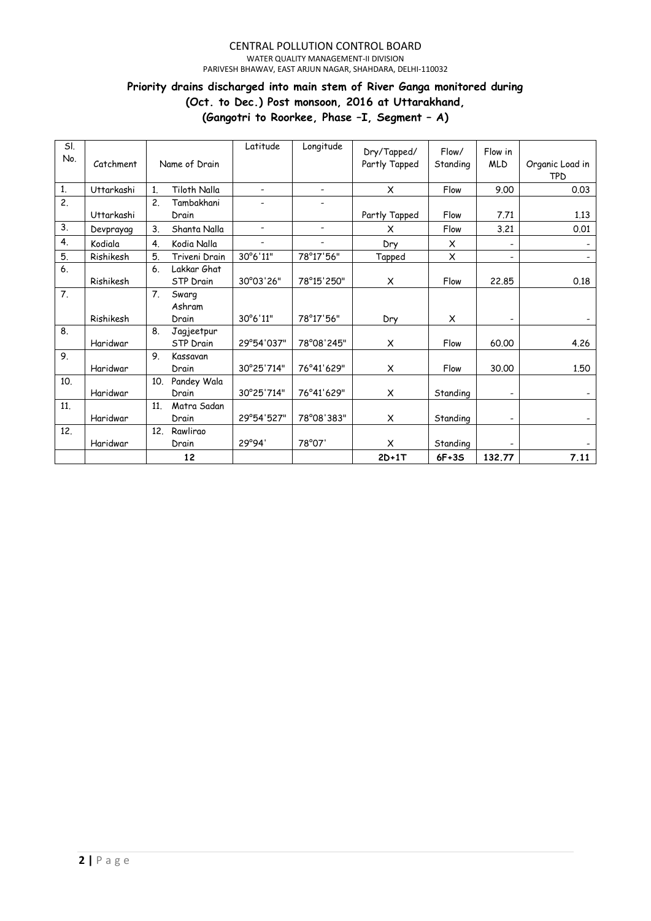#### CENTRAL POLLUTION CONTROL BOARD WATER QUALITY MANAGEMENT-II DIVISION

PARIVESH BHAWAV, EAST ARJUN NAGAR, SHAHDARA, DELHI-110032

# **Priority drains discharged into main stem of River Ganga monitored during**

**(Oct. to Dec.) Post monsoon, 2016 at Uttarakhand,** 

**(Gangotri to Roorkee, Phase –I, Segment – A)**

| SI.              |            |                |                  | Latitude                 | Longitude                    | Dry/Tapped/   | Flow/    | Flow in                      |                 |
|------------------|------------|----------------|------------------|--------------------------|------------------------------|---------------|----------|------------------------------|-----------------|
| No.              | Catchment  |                | Name of Drain    |                          |                              | Partly Tapped | Standing | <b>MLD</b>                   | Organic Load in |
|                  |            |                |                  |                          |                              |               |          |                              | TPD             |
| $\mathbf{1}$     | Uttarkashi | 1.             | Tiloth Nalla     | $\overline{\phantom{a}}$ | $\blacksquare$               | X             | Flow     | 9.00                         | 0.03            |
| $\overline{2}$ . |            | 2.             | Tambakhani       | $\overline{\phantom{a}}$ | $\overline{\phantom{a}}$     |               |          |                              |                 |
|                  | Uttarkashi |                | Drain            |                          |                              | Partly Tapped | Flow     | 7.71                         | 1.13            |
| 3.               | Devprayag  | 3.             | Shanta Nalla     | $\overline{\phantom{a}}$ | $\qquad \qquad \blacksquare$ | X             | Flow     | 3.21                         | 0.01            |
| 4.               | Kodiala    | 4.             | Kodia Nalla      | $\overline{\phantom{a}}$ |                              | Dry           | X        |                              |                 |
| 5.               | Rishikesh  | 5.             | Triveni Drain    | 30°6'11"                 | 78°17'56"                    | Tapped        | X        | $\overline{\phantom{0}}$     |                 |
| 6.               |            | 6.             | Lakkar Ghat      |                          |                              |               |          |                              |                 |
|                  | Rishikesh  |                | <b>STP Drain</b> | 30°03'26"                | 78°15'250"                   | X             | Flow     | 22,85                        | 0.18            |
| 7.               |            | 7 <sub>1</sub> | Swarg            |                          |                              |               |          |                              |                 |
|                  |            |                | Ashram           |                          |                              |               |          |                              |                 |
|                  | Rishikesh  |                | Drain            | 30°6'11"                 | 78°17'56"                    | Dry           | X        |                              |                 |
| 8.               |            | 8.             | Jagjeetpur       |                          |                              |               |          |                              |                 |
|                  | Haridwar   |                | <b>STP</b> Drain | 29°54'037"               | 78°08'245"                   | X             | Flow     | 60.00                        | 4.26            |
| 9.               |            | 9.             | Kassavan         |                          |                              |               |          |                              |                 |
|                  | Haridwar   |                | Drain            | 30°25'714"               | 76°41'629"                   | X             | Flow     | 30,00                        | 1.50            |
| 10.              |            | 10.            | Pandey Wala      |                          |                              |               |          |                              |                 |
|                  | Haridwar   |                | Drain            | 30°25'714"               | 76°41'629"                   | X             | Standing | $\qquad \qquad \blacksquare$ |                 |
| 11.              |            | 11.            | Matra Sadan      |                          |                              |               |          |                              |                 |
|                  | Haridwar   |                | Drain            | 29°54'527"               | 78°08'383"                   | X             | Standing | -                            |                 |
| 12.              |            | 12.            | Rawlirao         |                          |                              |               |          |                              |                 |
|                  | Haridwar   |                | Drain            | 29°94'                   | 78°07'                       | X             | Standing |                              |                 |
|                  |            |                | 12               |                          |                              | $2D+1T$       | $6F+3S$  | 132.77                       | 7.11            |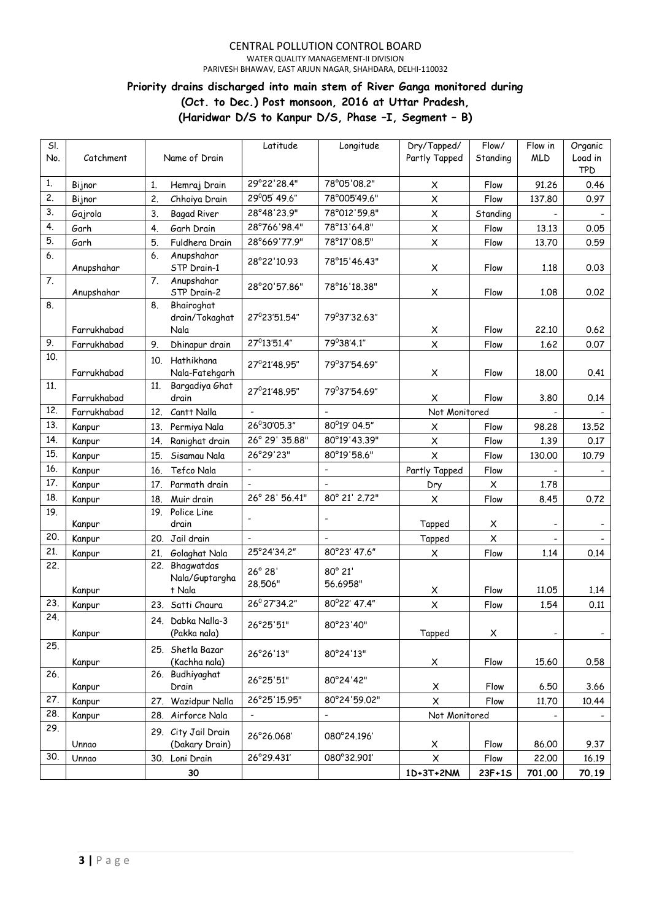WATER QUALITY MANAGEMENT-II DIVISION PARIVESH BHAWAV, EAST ARJUN NAGAR, SHAHDARA, DELHI-110032

# **Priority drains discharged into main stem of River Ganga monitored during (Oct. to Dec.) Post monsoon, 2016 at Uttar Pradesh, (Haridwar D/S to Kanpur D/S, Phase –I, Segment – B)**

| SI.<br>No. | Catchment   | Name of Drain                              | Latitude                 | Longitude                    | Dry/Tapped/<br>Partly Tapped | Flow/<br>Standing | Flow in<br><b>MLD</b>    | Organic<br>Load in       |
|------------|-------------|--------------------------------------------|--------------------------|------------------------------|------------------------------|-------------------|--------------------------|--------------------------|
|            |             |                                            |                          |                              |                              |                   |                          | <b>TPD</b>               |
| 1.         | Bijnor      | 1.<br>Hemraj Drain                         | 29°22'28.4"              | 78°05'08.2"                  | X                            | Flow              | 91.26                    | 0.46                     |
| 2.         | Bijnor      | 2.<br>Chhoiya Drain                        | 29°05' 49.6"             | 78°005'49.6"                 | $\pmb{\times}$               | Flow              | 137.80                   | 0.97                     |
| 3.         | Gajrola     | 3.<br><b>Bagad River</b>                   | 28°48'23.9"              | 78°012'59.8"                 | $\pmb{\times}$               | Standing          |                          |                          |
| 4.         | Garh        | 4.<br>Garh Drain                           | 28°766'98.4"             | 78°13'64.8"                  | $\pmb{\times}$               | Flow              | 13.13                    | 0.05                     |
| 5.         | Garh        | 5.<br>Fuldhera Drain                       | 28°669'77.9"             | 78°17'08.5"                  | $\pmb{\times}$               | Flow              | 13.70                    | 0.59                     |
| 6.         | Anupshahar  | Anupshahar<br>6.<br>STP Drain-1            | 28°22'10.93              | 78°15'46.43"                 | X                            | Flow              | 1.18                     | 0.03                     |
| 7.         | Anupshahar  | 7.<br>Anupshahar<br>STP Drain-2            | 28°20'57.86"             | 78°16'18.38"                 | X                            | Flow              | 1.08                     | 0.02                     |
| 8.         | Farrukhabad | Bhairoghat<br>8.<br>drain/Tokaghat<br>Nala | 27°23'51.54"             | 79°37'32.63"                 | $\pmb{\times}$               | Flow              | 22,10                    | 0.62                     |
| 9.         | Farrukhabad | 9.<br>Dhinapur drain                       | 27 <sup>0</sup> 13'51.4" | 79°38'4.1"                   | $\pmb{\times}$               | Flow              | 1.62                     | 0.07                     |
| 10.        |             |                                            |                          |                              |                              |                   |                          |                          |
|            | Farrukhabad | 10. Hathikhana<br>Nala-Fatehgarh           | 27°21'48.95"             | 79°37'54.69"                 | $\pmb{\times}$               | Flow              | 18,00                    | 0.41                     |
| 11.        | Farrukhabad | Bargadiya Ghat<br>11 <sub>1</sub><br>drain | 27°21'48.95"             | 79°37'54.69"                 | X                            | Flow              | 3.80                     | 0.14                     |
| 12.        | Farrukhabad | Cantt Nalla<br>12.                         |                          |                              | Not Monitored                |                   |                          |                          |
| 13.        | Kanpur      | Permiya Nala<br>13.                        | 26°30'05.3"              | 80°19' 04.5"                 | X                            | Flow              | 98.28                    | 13.52                    |
| 14.        | Kanpur      | 14.<br>Ranighat drain                      | 26° 29' 35.88"           | 80°19'43.39"                 | $\pmb{\times}$               | Flow              | 1.39                     | 0.17                     |
| 15.        | Kanpur      | 15.<br>Sisamau Nala                        | 26°29'23"                | 80°19'58.6"                  | $\pmb{\times}$               | Flow              | 130.00                   | 10.79                    |
| 16.        | Kanpur      | Tefco Nala<br>16.                          | $\overline{\phantom{a}}$ | $\overline{a}$               | Partly Tapped                | Flow              |                          |                          |
| 17.        | Kanpur      | 17.<br>Parmath drain                       |                          |                              | Dry                          | X                 | 1.78                     |                          |
| 18.        | Kanpur      | Muir drain<br>18.                          | 26° 28' 56.41"           | 80° 21' 2.72"                | X                            | Flow              | 8.45                     | 0.72                     |
| 19.        |             | 19. Police Line                            |                          |                              |                              |                   |                          |                          |
|            | Kanpur      | drain                                      |                          | $\qquad \qquad \blacksquare$ | Tapped                       | X                 |                          |                          |
| 20.        | Kanpur      | Jail drain<br>20.                          |                          |                              | Tapped                       | $\pmb{\times}$    |                          |                          |
| 21.        | Kanpur      | Golaghat Nala<br>21.                       | 25°24'34.2"              | 80°23' 47.6"                 | X                            | Flow              | 1.14                     | 0.14                     |
| 22.        | Kanpur      | 22. Bhagwatdas<br>Nala/Guptargha<br>t Nala | 26° 28'<br>28.506"       | 80° 21'<br>56.6958"          | X                            | Flow              | 11,05                    | 1.14                     |
| 23.        | Kanpur      | 23. Satti Chaura                           | 26° 27' 34.2"            | 80°22' 47.4"                 | $\mathsf X$                  | Flow              | 1.54                     | 0.11                     |
| 24.        | Kanpur      | 24. Dabka Nalla-3<br>(Pakka nala)          | 26°25'51"                | 80°23'40"                    | Tapped                       | X                 | $\overline{\phantom{a}}$ | $\overline{\phantom{a}}$ |
| 25.        | Kanpur      | 25. Shetla Bazar<br>(Kachha nala)          | 26°26'13"                | 80°24'13"                    | X                            | Flow              | 15.60                    | 0.58                     |
| 26.        | Kanpur      | 26. Budhiyaghat<br>Drain                   | 26°25'51"                | 80°24'42"                    | X                            | Flow              | 6.50                     | 3.66                     |
| 27.        | Kanpur      | 27. Wazidpur Nalla                         | 26°25'15.95"             | 80°24'59.02"                 | X                            | Flow              | 11.70                    | 10.44                    |
| 28.        | Kanpur      | 28. Airforce Nala                          |                          |                              | Not Monitored                |                   |                          |                          |
| 29.        | Unnao       | 29. City Jail Drain<br>(Dakary Drain)      | 26°26.068'               | 080°24.196'                  | X                            | Flow              | 86.00                    | 9.37                     |
| 30.        | Unnao       | 30. Loni Drain                             | 26°29.431'               | 080°32.901'                  | $\pmb{\times}$               | Flow              | 22,00                    | 16.19                    |
|            |             | 30                                         |                          |                              | 1D+3T+2NM                    | 23F+1S            | 701.00                   | 70.19                    |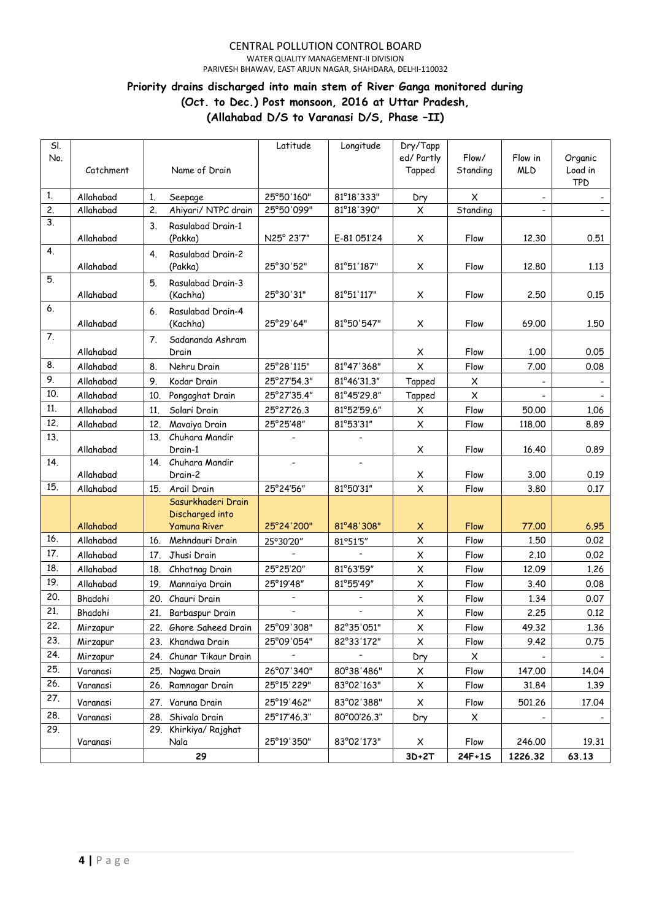WATER QUALITY MANAGEMENT-II DIVISION

PARIVESH BHAWAV, EAST ARJUN NAGAR, SHAHDARA, DELHI-110032

### **Priority drains discharged into main stem of River Ganga monitored during (Oct. to Dec.) Post monsoon, 2016 at Uttar Pradesh,**

**(Allahabad D/S to Varanasi D/S, Phase –II)**

| SI.<br>No. | Catchment |                  | Name of Drain                 | Latitude                 | Longitude                | Dry/Tapp<br>ed/ Partly    | Flow/<br>Standing | Flow in<br><b>MLD</b> | Organic<br>Load in |
|------------|-----------|------------------|-------------------------------|--------------------------|--------------------------|---------------------------|-------------------|-----------------------|--------------------|
|            |           |                  |                               |                          |                          | Tapped                    |                   |                       | <b>TPD</b>         |
| 1.         | Allahabad | 1.               | Seepage                       | 25°50'160"               | 81°18'333"               | Dry                       | X                 |                       |                    |
| 2.         | Allahabad | $\overline{c}$ . | Ahiyari/ NTPC drain           | 25°50'099"               | 81°18'390"               | $\pmb{\times}$            | Standing          |                       |                    |
| 3.         | Allahabad | 3.               | Rasulabad Drain-1<br>(Pakka)  | N25° 23'7"               | E-81 051'24              | X                         | Flow              | 12.30                 | 0.51               |
| 4.         | Allahabad | 4.               | Rasulabad Drain-2<br>(Pakka)  | 25°30'52"                | 81°51'187"               | X                         | Flow              | 12.80                 | 1.13               |
| 5.         | Allahabad | 5.               | Rasulabad Drain-3<br>(Kachha) | 25°30'31"                | 81°51'117"               | X                         | Flow              | 2,50                  | 0.15               |
| 6.         | Allahabad | 6.               | Rasulabad Drain-4<br>(Kachha) | 25°29'64"                | 81°50'547"               | X                         | Flow              | 69.00                 | 1,50               |
| 7.         |           | 7.               | Sadananda Ashram              |                          |                          |                           |                   |                       |                    |
|            | Allahabad |                  | Drain                         |                          |                          | X                         | Flow              | 1.00                  | 0.05               |
| 8.         | Allahabad | 8.               | Nehru Drain                   | 25°28'115"               | 81°47'368"               | $\pmb{\times}$            | Flow              | 7.00                  | 0.08               |
| 9.         | Allahabad | 9.               | Kodar Drain                   | 25°27'54.3"              | 81°46'31.3"              | Tapped                    | X                 |                       |                    |
| 10.        | Allahabad | 10.              | Pongaghat Drain               | 25°27'35.4"              | 81°45'29.8"              | Tapped                    | X                 |                       |                    |
| 11.        | Allahabad | 11.              | Solari Drain                  | 25°27'26.3               | 81°52'59.6"              | X                         | Flow              | 50.00                 | 1.06               |
| 12.        | Allahabad | 12.              | Mavaiya Drain                 | 25°25'48"                | 81°53'31"                | $\boldsymbol{\mathsf{X}}$ | Flow              | 118.00                | 8.89               |
| 13.        |           | 13.              | Chuhara Mandir                |                          |                          |                           |                   |                       |                    |
| 14.        | Allahabad |                  | Drain-1<br>14. Chuhara Mandir | $\overline{\phantom{a}}$ | $\overline{\phantom{a}}$ | X                         | Flow              | 16.40                 | 0.89               |
|            | Allahabad |                  | Drain-2                       |                          |                          | X                         | Flow              | 3.00                  | 0.19               |
| 15.        | Allahabad | 15.              | Arail Drain                   | 25°24'56"                | 81°50'31"                | $\pmb{\times}$            | Flow              | 3.80                  | 0.17               |
|            |           |                  | Sasurkhaderi Drain            |                          |                          |                           |                   |                       |                    |
|            |           |                  | Discharged into               |                          |                          |                           |                   |                       |                    |
|            | Allahabad |                  | <b>Yamuna River</b>           | 25°24'200"               | 81°48'308"               | X                         | Flow              | 77.00                 | 6.95               |
| 16.        | Allahabad | 16.              | Mehndauri Drain               | 25°30'20"                | 81°51'5"                 | $\boldsymbol{\mathsf{X}}$ | Flow              | 1.50                  | 0.02               |
| 17.        | Allahabad | 17.              | Jhusi Drain                   |                          |                          | X                         | Flow              | 2.10                  | 0.02               |
| 18.<br>19. | Allahabad | 18.              | Chhatnag Drain                | 25°25'20"                | 81°63'59"                | $\boldsymbol{\mathsf{X}}$ | Flow              | 12.09                 | 1.26               |
| 20.        | Allahabad | 19.              | Mannaiya Drain                | 25°19'48"                | 81°55'49"                | X                         | Flow              | 3.40                  | 0.08               |
| 21.        | Bhadohi   | 20.              | Chauri Drain                  |                          |                          | $\boldsymbol{\mathsf{X}}$ | Flow              | 1.34                  | 0.07               |
| 22         | Bhadohi   | 21.              | Barbaspur Drain               |                          |                          | $\pmb{\times}$            | Flow              | 2.25                  | 0.12               |
| 23.        | Mirzapur  |                  | 22. Ghore Saheed Drain        | 25°09'308"               | 82°35'051"               | $\pmb{\mathsf{X}}$        | Flow              | 49.32                 | 1.36               |
| 24.        | Mirzapur  |                  | 23. Khandwa Drain             | 25°09'054"               | 82°33'172"               | X                         | Flow              | 9.42                  | 0.75               |
| 25.        | Mirzapur  |                  | 24. Chunar Tikaur Drain       | 26°07'340"               |                          | Dry                       | X                 |                       |                    |
| 26.        | Varanasi  |                  | 25. Nagwa Drain               |                          | 80°38'486"               | X                         | Flow              | 147.00                | 14.04              |
| 27.        | Varanasi  |                  | 26. Ramnagar Drain            | 25°15'229"               | 83°02'163"               | X                         | Flow              | 31.84                 | 1.39               |
|            | Varanasi  |                  | 27. Varuna Drain              | 25°19'462"               | 83°02'388"               | X                         | Flow              | 501.26                | 17.04              |
| 28.        | Varanasi  |                  | 28. Shivala Drain             | 25°17'46.3"              | 80°00'26.3"              | Dry                       | X                 |                       |                    |
| 29.        | Varanasi  |                  | 29. Khirkiya/ Rajghat<br>Nala | 25°19'350"               | 83°02'173"               | X                         | Flow              | 246.00                | 19.31              |
|            |           |                  | 29                            |                          |                          | $3D+2T$                   | 24F+1S            | 1226.32               | 63.13              |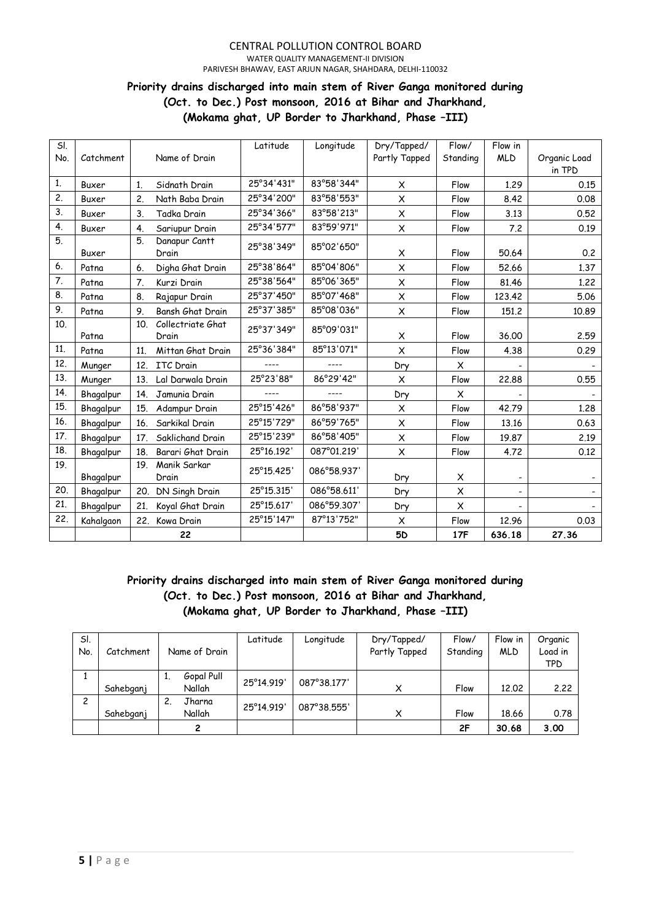#### CENTRAL POLLUTION CONTROL BOARD WATER QUALITY MANAGEMENT-II DIVISION PARIVESH BHAWAV, EAST ARJUN NAGAR, SHAHDARA, DELHI-110032

# **Priority drains discharged into main stem of River Ganga monitored during (Oct. to Dec.) Post monsoon, 2016 at Bihar and Jharkhand, (Mokama ghat, UP Border to Jharkhand, Phase –III)**

| SI. |           |     |                   | Latitude   | Longitude   | Dry/Tapped/    | Flow/          | Flow in    |              |
|-----|-----------|-----|-------------------|------------|-------------|----------------|----------------|------------|--------------|
| No. | Catchment |     | Name of Drain     |            |             | Partly Tapped  | Standing       | <b>MLD</b> | Organic Load |
|     |           |     |                   |            |             |                |                |            | in TPD       |
| 1.  | Buxer     | 1.  | Sidnath Drain     | 25°34'431" | 83°58'344"  | X              | Flow           | 1.29       | 0.15         |
| 2.  | Buxer     | 2.  | Nath Baba Drain   | 25°34'200" | 83°58'553"  | X              | Flow           | 8.42       | 0.08         |
| 3.  | Buxer     | 3.  | Tadka Drain       | 25°34'366" | 83°58'213"  | X              | Flow           | 3.13       | 0.52         |
| 4.  | Buxer     | 4.  | Sariupur Drain    | 25°34'577" | 83°59'971"  | $\pmb{\times}$ | Flow           | 7.2        | 0.19         |
| 5.  |           | 5.  | Danapur Cantt     | 25°38'349" | 85°02'650"  |                |                |            |              |
|     | Buxer     |     | Drain             |            |             | X              | Flow           | 50.64      | 0.2          |
| 6.  | Patna     | 6.  | Digha Ghat Drain  | 25°38'864" | 85°04'806"  | $\pmb{\times}$ | Flow           | 52.66      | 1.37         |
| 7.  | Patna     | 7.  | Kurzi Drain       | 25°38'564" | 85°06'365"  | $\pmb{\times}$ | Flow           | 81.46      | 1.22         |
| 8.  | Patna     | 8.  | Rajapur Drain     | 25°37'450" | 85°07'468"  | $\pmb{\times}$ | Flow           | 123,42     | 5.06         |
| 9.  | Patna     | 9.  | Bansh Ghat Drain  | 25°37'385" | 85°08'036"  | $\pmb{\times}$ | Flow           | 151.2      | 10.89        |
| 10. |           | 10. | Collectriate Ghat | 25°37'349" | 85°09'031"  |                |                |            |              |
|     | Patna     |     | Drain             |            |             | X              | Flow           | 36.00      | 2.59         |
| 11. | Patna     | 11. | Mittan Ghat Drain | 25°36'384" | 85°13'071"  | $\pmb{\times}$ | Flow           | 4.38       | 0.29         |
| 12. | Munger    | 12. | <b>ITC</b> Drain  | ----       | ----        | Dry            | X              |            |              |
| 13. | Munger    | 13. | Lal Darwala Drain | 25°23'88"  | 86°29'42"   | X              | Flow           | 22,88      | 0.55         |
| 14. | Bhagalpur | 14. | Jamunia Drain     | $---$      |             | Dry            | X              |            |              |
| 15. | Bhagalpur | 15. | Adampur Drain     | 25°15'426" | 86°58'937"  | X              | Flow           | 42.79      | 1,28         |
| 16. | Bhagalpur | 16. | Sarkikal Drain    | 25°15'729" | 86°59'765"  | $\pmb{\times}$ | Flow           | 13.16      | 0.63         |
| 17. | Bhagalpur | 17. | Saklichand Drain  | 25°15'239" | 86°58'405"  | $\pmb{\times}$ | Flow           | 19.87      | 2.19         |
| 18. | Bhagalpur | 18. | Barari Ghat Drain | 25°16.192' | 087°01.219' | X              | Flow           | 4.72       | 0.12         |
| 19. |           | 19. | Manik Sarkar      | 25°15.425' | 086°58.937' |                |                |            |              |
|     | Bhagalpur |     | Drain             |            |             | Dry            | X              |            |              |
| 20. | Bhagalpur | 20. | DN Singh Drain    | 25°15.315' | 086°58.611' | Dry            | $\pmb{\times}$ |            |              |
| 21. | Bhagalpur | 21. | Koyal Ghat Drain  | 25°15.617' | 086°59.307' | Dry            | $\times$       |            |              |
| 22. | Kahalgaon | 22. | Kowa Drain        | 25°15'147" | 87°13'752"  | X              | Flow           | 12.96      | 0.03         |
|     |           |     | 22                |            |             | <b>5D</b>      | 17F            | 636.18     | 27.36        |

# **Priority drains discharged into main stem of River Ganga monitored during (Oct. to Dec.) Post monsoon, 2016 at Bihar and Jharkhand, (Mokama ghat, UP Border to Jharkhand, Phase –III)**

| SI. |           |               | Latitude   | Longitude   | Dry/Tapped/   | Flow/    | Flow in    | Organic    |
|-----|-----------|---------------|------------|-------------|---------------|----------|------------|------------|
| No. | Catchment | Name of Drain |            |             | Partly Tapped | Standing | <b>MLD</b> | Load in    |
|     |           |               |            |             |               |          |            | <b>TPD</b> |
|     |           | Gopal Pull    | 25°14.919' | 087°38.177' |               |          |            |            |
|     | Sahebganj | Nallah        |            |             | X             | Flow     | 12.02      | 2.22       |
| 2   |           | Jharna        | 25°14.919' | 087°38.555' |               |          |            |            |
|     | Sahebganj | Nallah        |            |             | X             | Flow     | 18.66      | 0.78       |
|     |           | 2             |            |             |               | 2F       | 30.68      | 3.00       |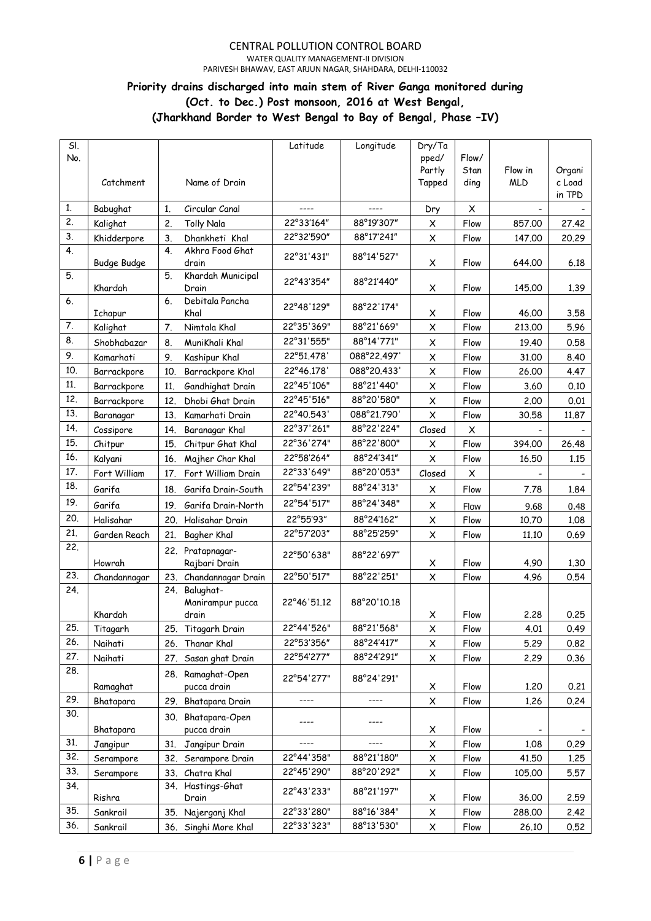WATER QUALITY MANAGEMENT-II DIVISION

PARIVESH BHAWAV, EAST ARJUN NAGAR, SHAHDARA, DELHI-110032

### **Priority drains discharged into main stem of River Ganga monitored during (Oct. to Dec.) Post monsoon, 2016 at West Bengal, (Jharkhand Border to West Bengal to Bay of Bengal, Phase –IV)**

| SI.<br>No. |                    |     |                                   | Latitude    | Longitude   | Dry/Ta<br>pped/<br>Partly | Flow/<br>Stan | Flow in    | Organi           |
|------------|--------------------|-----|-----------------------------------|-------------|-------------|---------------------------|---------------|------------|------------------|
|            | Catchment          |     | Name of Drain                     |             |             | Tapped                    | ding          | <b>MLD</b> | c Load<br>in TPD |
| 1.         | Babughat           | 1.  | Circular Canal                    | ----        | $---$       | Dry                       | X             |            |                  |
| 2.         | Kalighat           | 2.  | <b>Tolly Nala</b>                 | 22°33'164"  | 88°19'307"  | X                         | Flow          | 857.00     | 27.42            |
| 3.         | Khidderpore        | 3.  | Dhankheti Khal                    | 22°32'590"  | 88°17'241"  | X                         | Flow          | 147.00     | 20.29            |
| 4.         | <b>Budge Budge</b> | 4.  | Akhra Food Ghat<br>drain          | 22°31'431"  | 88°14'527"  | X                         | Flow          | 644.00     | 6.18             |
| 5.         | Khardah            | 5.  | Khardah Municipal<br>Drain        | 22°43'354"  | 88°21'440"  | X                         | Flow          | 145.00     | 1.39             |
| 6.         | Ichapur            | 6.  | Debitala Pancha<br>Khal           | 22°48'129"  | 88°22'174"  | X                         | Flow          | 46,00      | 3.58             |
| 7.         | Kalighat           | 7.  | Nimtala Khal                      | 22°35'369"  | 88°21'669"  | X                         | Flow          | 213.00     | 5.96             |
| 8.         | Shobhabazar        | 8.  | MuniKhali Khal                    | 22°31'555"  | 88°14'771"  | X                         | Flow          | 19.40      | 0.58             |
| 9.         | Kamarhati          | 9.  | Kashipur Khal                     | 22°51.478'  | 088°22.497' | X                         | Flow          | 31,00      | 8.40             |
| 10.        | Barrackpore        | 10. | Barrackpore Khal                  | 22°46.178'  | 088°20.433' | X                         | Flow          | 26.00      | 4.47             |
| 11.        | Barrackpore        | 11. | Gandhighat Drain                  | 22°45'106"  | 88°21'440"  | X                         | Flow          | 3.60       | 0.10             |
| 12.        | Barrackpore        | 12. | Dhobi Ghat Drain                  | 22°45'516"  | 88°20'580"  | $\pmb{\times}$            | Flow          | 2.00       | 0.01             |
| 13.        | Baranagar          | 13. | Kamarhati Drain                   | 22°40.543'  | 088°21.790' | X                         | Flow          | 30.58      | 11.87            |
| 14.        | Cossipore          | 14. | Baranagar Khal                    | 22°37'261"  | 88°22'224"  | Closed                    | X             |            |                  |
| 15.        | Chitpur            | 15. | Chitpur Ghat Khal                 | 22°36'274"  | 88°22'800"  | $\pmb{\times}$            | Flow          | 394.00     | 26.48            |
| 16.        | Kalyani            | 16. | Majher Char Khal                  | 22°58'264"  | 88°24'341"  | $\pmb{\times}$            | Flow          | 16.50      | 1.15             |
| 17.        | Fort William       | 17. | Fort William Drain                | 22°33'649"  | 88°20'053"  | Closed                    | X             |            |                  |
| 18.        | Garifa             | 18. | Garifa Drain-South                | 22°54'239"  | 88°24'313"  | X                         | Flow          | 7.78       | 1.84             |
| 19.        | Garifa             | 19. | Garifa Drain-North                | 22°54'517"  | 88°24'348"  | X                         | Flow          | 9.68       | 0.48             |
| 20.        | Halisahar          |     | 20. Halisahar Drain               | 22°55'93"   | 88°24'162"  | $\pmb{\times}$            | Flow          | 10.70      | 1.08             |
| 21.        | Garden Reach       | 21. | Bagher Khal                       | 22°57'203"  | 88°25'259"  | X                         | Flow          | 11.10      | 0.69             |
| 22.        | Howrah             |     | 22. Pratapnagar-<br>Rajbari Drain | 22°50'638"  | 88°22'697"  | X                         | Flow          | 4.90       | 1.30             |
| 23.        | Chandannagar       |     | 23. Chandannagar Drain            | 22°50'517"  | 88°22'251"  | X                         | Flow          | 4.96       | 0.54             |
| 24.        |                    |     | 24. Balughat-<br>Manirampur pucca | 22°46'51.12 | 88°20'10.18 |                           |               |            |                  |
|            | Khardah            |     | drain                             |             |             | X                         | Flow          | 2.28       | 0.25             |
| 25.        | Titagarh           |     | 25. Titagarh Drain                | 22°44'526"  | 88°21'568"  | X                         | Flow          | 4.01       | 0.49             |
| 26.        | Naihati            |     | 26. Thanar Khal                   | 22°53'356"  | 88°24'417"  | X                         | Flow          | 5.29       | 0.82             |
| 27.        | Naihati            |     | 27. Sasan ghat Drain              | 22°54'277"  | 88°24'291"  | X                         | Flow          | 2.29       | 0.36             |
| 28.        | Ramaghat           |     | 28. Ramaghat-Open<br>pucca drain  | 22°54'277"  | 88°24'291"  | X                         | Flow          | 1.20       | 0.21             |
| 29.        | Bhatapara          |     | 29. Bhatapara Drain               | ----        | ----        | X                         | Flow          | 1.26       | 0.24             |
| 30.        |                    |     | 30. Bhatapara-Open                |             |             |                           |               |            |                  |
|            | Bhatapara          |     | pucca drain                       |             |             | X                         | Flow          |            |                  |
| 31.        | Jangipur           | 31. | Jangipur Drain                    |             |             | X                         | Flow          | 1.08       | 0.29             |
| 32.        | Serampore          |     | 32. Serampore Drain               | 22°44'358"  | 88°21'180"  | X                         | Flow          | 41.50      | 1.25             |
| 33.        | Serampore          |     | 33. Chatra Khal                   | 22°45'290"  | 88°20'292"  | X                         | Flow          | 105.00     | 5.57             |
| 34.        | Rishra             |     | 34. Hastings-Ghat<br>Drain        | 22°43'233"  | 88°21'197"  | X                         | Flow          | 36.00      | 2.59             |
| 35.        | Sankrail           |     | 35. Najerganj Khal                | 22°33'280"  | 88°16'384"  | X                         | Flow          | 288.00     | 2.42             |
| 36.        | Sankrail           |     | 36. Singhi More Khal              | 22°33'323"  | 88°13'530"  | X                         | Flow          | 26.10      | 0.52             |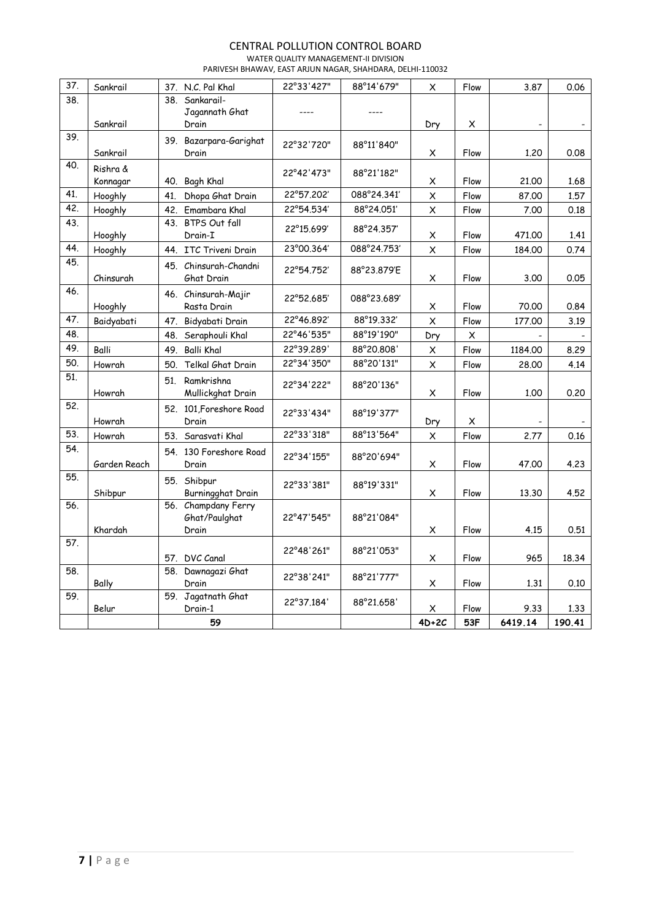WATER QUALITY MANAGEMENT-II DIVISION PARIVESH BHAWAV, EAST ARJUN NAGAR, SHAHDARA, DELHI-110032

| 37. | Sankrail     |     | 37. N.C. Pal Khal               | 22°33'427" | 88°14'679"  | $\pmb{\times}$ | Flow           | 3.87    | 0.06   |
|-----|--------------|-----|---------------------------------|------------|-------------|----------------|----------------|---------|--------|
| 38. |              | 38. | Sankarail-                      |            |             |                |                |         |        |
|     |              |     | Jagannath Ghat                  |            |             |                |                |         |        |
|     | Sankrail     |     | Drain                           |            |             | Dry            | X              |         |        |
| 39. |              |     |                                 |            |             |                |                |         |        |
|     | Sankrail     |     | 39. Bazarpara-Garighat<br>Drain | 22°32'720" | 88°11'840"  |                | Flow           | 1.20    | 0.08   |
| 40. |              |     |                                 |            |             | X              |                |         |        |
|     | Rishra &     |     |                                 | 22°42'473" | 88°21'182"  |                |                |         |        |
|     | Konnagar     |     | 40. Bagh Khal                   |            |             | X              | Flow           | 21,00   | 1.68   |
| 41. | Hooghly      | 41. | Dhopa Ghat Drain                | 22°57.202' | 088°24.341' | $\times$       | Flow           | 87,00   | 1.57   |
| 42. | Hooghly      |     | 42. Emambara Khal               | 22°54.534' | 88°24.051'  | $\pmb{\times}$ | Flow           | 7.00    | 0.18   |
| 43. | Hooghly      |     | 43. BTPS Out fall<br>Drain-I    | 22°15.699' | 88°24.357'  | X              | Flow           | 471,00  | 1.41   |
| 44. | Hooghly      |     | 44. ITC Triveni Drain           | 23°00.364' | 088°24.753' | $\pmb{\times}$ | Flow           | 184.00  | 0.74   |
| 45. |              |     | 45. Chinsurah-Chandni           |            |             |                |                |         |        |
|     | Chinsurah    |     | Ghat Drain                      | 22°54.752' | 88°23.879'E | X              | Flow           | 3.00    | 0.05   |
| 46. |              |     | 46. Chinsurah-Majir             |            |             |                |                |         |        |
|     | Hooghly      |     | Rasta Drain                     | 22°52.685' | 088°23.689' | X              | Flow           | 70,00   | 0.84   |
| 47. | Baidyabati   |     | 47. Bidyabati Drain             | 22°46.892' | 88°19.332'  | $\pmb{\times}$ | Flow           | 177.00  | 3.19   |
| 48. |              |     | 48. Seraphouli Khal             | 22°46'535" | 88°19'190"  | Dry            | $\pmb{\times}$ |         |        |
| 49. | Balli        |     |                                 | 22°39.289' | 88°20.808'  |                |                |         |        |
| 50. |              | 49. | <b>Balli Khal</b>               | 22°34'350" | 88°20'131"  | x              | Flow           | 1184.00 | 8.29   |
|     | Howrah       | 50. | Telkal Ghat Drain               |            |             | $\pmb{\times}$ | Flow           | 28.00   | 4.14   |
| 51. |              |     | 51. Ramkrishna                  | 22°34'222" | 88°20'136"  |                |                |         |        |
|     | Howrah       |     | Mullickghat Drain               |            |             | X              | Flow           | 1,00    | 0.20   |
| 52. |              |     | 52. 101, Foreshore Road         | 22°33'434" | 88°19'377"  |                |                |         |        |
|     | Howrah       |     | Drain                           |            |             | Dry            | X              |         |        |
| 53. | Howrah       | 53. | Sarasvati Khal                  | 22°33'318" | 88°13'564"  | X              | Flow           | 2.77    | 0.16   |
| 54. |              |     | 54. 130 Foreshore Road          | 22°34'155" |             |                |                |         |        |
|     | Garden Reach |     | Drain                           |            | 88°20'694"  | $\pmb{\times}$ | Flow           | 47,00   | 4.23   |
| 55. |              |     | 55. Shibpur                     |            |             |                |                |         |        |
|     | Shibpur      |     | Burningghat Drain               | 22°33'381" | 88°19'331"  | X              | Flow           | 13,30   | 4.52   |
| 56. |              |     | 56. Champdany Ferry             |            |             |                |                |         |        |
|     |              |     | Ghat/Paulghat                   | 22°47'545" | 88°21'084"  |                |                |         |        |
|     | Khardah      |     | Drain                           |            |             | X              | Flow           | 4.15    | 0.51   |
| 57. |              |     |                                 | 22°48'261" | 88°21'053"  |                |                |         |        |
|     |              |     | 57. DVC Canal                   |            |             | X              | Flow           | 965     | 18.34  |
| 58. |              |     | 58. Dawnagazi Ghat              | 22°38'241" | 88°21'777"  |                |                |         |        |
|     | Bally        |     | Drain                           |            |             | X              | Flow           | 1,31    | 0.10   |
| 59. |              |     | 59. Jagatnath Ghat              | 22°37.184' | 88°21.658'  |                |                |         |        |
|     | Belur        |     | Drain-1                         |            |             | x              | Flow           | 9.33    | 1.33   |
|     |              |     | 59                              |            |             | $4D+2C$        | 53F            | 6419.14 | 190.41 |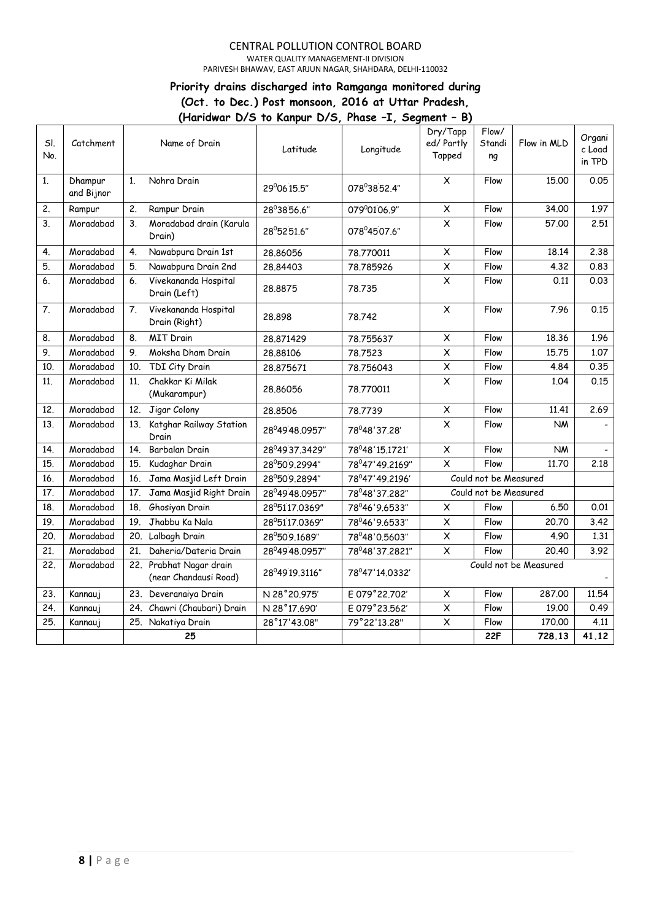WATER QUALITY MANAGEMENT-II DIVISION

PARIVESH BHAWAV, EAST ARJUN NAGAR, SHAHDARA, DELHI-110032

### **Priority drains discharged into Ramganga monitored during (Oct. to Dec.) Post monsoon, 2016 at Uttar Pradesh, (Haridwar D/S to Kanpur D/S, Phase –I, Segment – B)**

|            |                       |                 |                                                  |                |                | נט -                             |                       |             |                            |
|------------|-----------------------|-----------------|--------------------------------------------------|----------------|----------------|----------------------------------|-----------------------|-------------|----------------------------|
| SI.<br>No. | Catchment             |                 | Name of Drain                                    | Latitude       | Longitude      | Dry/Tapp<br>ed/ Partly<br>Tapped | Flow/<br>Standi<br>ng | Flow in MLD | Organi<br>c Load<br>in TPD |
| 1.         | Dhampur<br>and Bijnor | 1.              | Nohra Drain                                      | 29°06'15.5"    | 078°3852.4"    | $\pmb{\times}$                   | Flow                  | 15.00       | 0.05                       |
| 2.         | Rampur                | 2.              | Rampur Drain                                     | 28°38'56.6"    | 079°0106.9"    | $\pmb{\times}$                   | Flow                  | 34.00       | 1.97                       |
| 3.         | Moradabad             | 3.              | Moradabad drain (Karula<br>Drain)                | 28°52'51.6"    | 078°4507.6"    | $\pmb{\times}$                   | Flow                  | 57.00       | 2.51                       |
| 4.         | Moradabad             | 4.              | Nawabpura Drain 1st                              | 28.86056       | 78.770011      | $\overline{\mathsf{x}}$          | Flow                  | 18.14       | 2.38                       |
| 5.         | Moradabad             | 5.              | Nawabpura Drain 2nd                              | 28.84403       | 78.785926      | $\overline{\mathsf{x}}$          | Flow                  | 4.32        | 0.83                       |
| 6.         | Moradabad             | 6.              | Vivekananda Hospital<br>Drain (Left)             | 28,8875        | 78.735         | $\overline{\mathsf{x}}$          | Flow                  | 0.11        | 0.03                       |
| 7.         | Moradabad             | 7.              | Vivekananda Hospital<br>Drain (Right)            | 28,898         | 78.742         | $\pmb{\times}$                   | Flow                  | 7.96        | 0.15                       |
| 8.         | Moradabad             | 8.              | <b>MIT Drain</b>                                 | 28.871429      | 78.755637      | $\pmb{\times}$                   | Flow                  | 18.36       | 1.96                       |
| 9.         | Moradabad             | 9.              | Moksha Dham Drain                                | 28.88106       | 78.7523        | $\overline{\mathsf{x}}$          | Flow                  | 15.75       | 1.07                       |
| 10.        | Moradabad             | 10 <sub>1</sub> | TDI City Drain                                   | 28,875671      | 78.756043      | $\pmb{\times}$                   | Flow                  | 4.84        | 0.35                       |
| 11.        | Moradabad             | 11.             | Chakkar Ki Milak<br>(Mukarampur)                 | 28.86056       | 78,770011      | X                                | Flow                  | 1.04        | 0.15                       |
| 12.        | Moradabad             | 12.             | Jigar Colony                                     | 28.8506        | 78.7739        | $\pmb{\times}$                   | Flow                  | 11.41       | 2.69                       |
| 13.        | Moradabad             | 13.             | Katghar Railway Station<br>Drain                 | 28°49'48.0957" | 78°48'37.28'   | $\pmb{\times}$                   | Flow                  | <b>NM</b>   |                            |
| 14.        | Moradabad             | 14.             | Barbalan Drain                                   | 28°49'37.3429" | 78°48'15.1721' | $\pmb{\times}$                   | Flow                  | <b>NM</b>   |                            |
| 15.        | Moradabad             | 15.             | Kudaghar Drain                                   | 28°50'9.2994"  | 78°47'49.2169" | $\overline{\mathsf{x}}$          | Flow                  | 11.70       | 2.18                       |
| 16.        | Moradabad             | 16.             | Jama Masjid Left Drain                           | 28°50'9.2894"  | 78°47'49.2196' |                                  | Could not be Measured |             |                            |
| 17.        | Moradabad             | 17.             | Jama Masjid Right Drain                          | 28°49'48.0957" | 78°48'37.282"  |                                  | Could not be Measured |             |                            |
| 18.        | Moradabad             |                 | 18. Ghosiyan Drain                               | 28°51'17.0369" | 78°46'9.6533"  | $\pmb{\times}$                   | Flow                  | 6.50        | 0.01                       |
| 19.        | Moradabad             | 19.             | Jhabbu Ka Nala                                   | 28°51'17.0369" | 78°46'9.6533"  | X                                | Flow                  | 20.70       | 3.42                       |
| 20.        | Moradabad             |                 | 20. Lalbagh Drain                                | 28°50'9.1689"  | 78°48'0.5603"  | X                                | Flow                  | 4.90        | 1.31                       |
| 21.        | Moradabad             | 21.             | Daheria/Dateria Drain                            | 28°49'48.0957" | 78°48'37.2821" | X                                | Flow                  | 20.40       | 3.92                       |
| 22.        | Moradabad             |                 | 22. Prabhat Nagar drain<br>(near Chandausi Road) | 28°49'19.3116" | 78°47'14.0332' | Could not be Measured            |                       |             |                            |
| 23.        | Kannauj               | 23.             | Deveranaiya Drain                                | N 28°20.975'   | E 079°22.702'  | $\boldsymbol{\mathsf{X}}$        | Flow                  | 287.00      | 11.54                      |
| 24.        | Kannauj               | 24.             | Chawri (Chaubari) Drain                          | N 28°17.690'   | E 079°23.562'  | $\pmb{\times}$                   | Flow                  | 19.00       | 0.49                       |
| 25.        | Kannauj               |                 | 25. Nakatiya Drain                               | 28°17'43.08"   | 79°22'13.28"   | $\times$                         | Flow                  | 170.00      | 4.11                       |
|            |                       |                 | 25                                               |                |                |                                  | 22F                   | 728.13      | 41.12                      |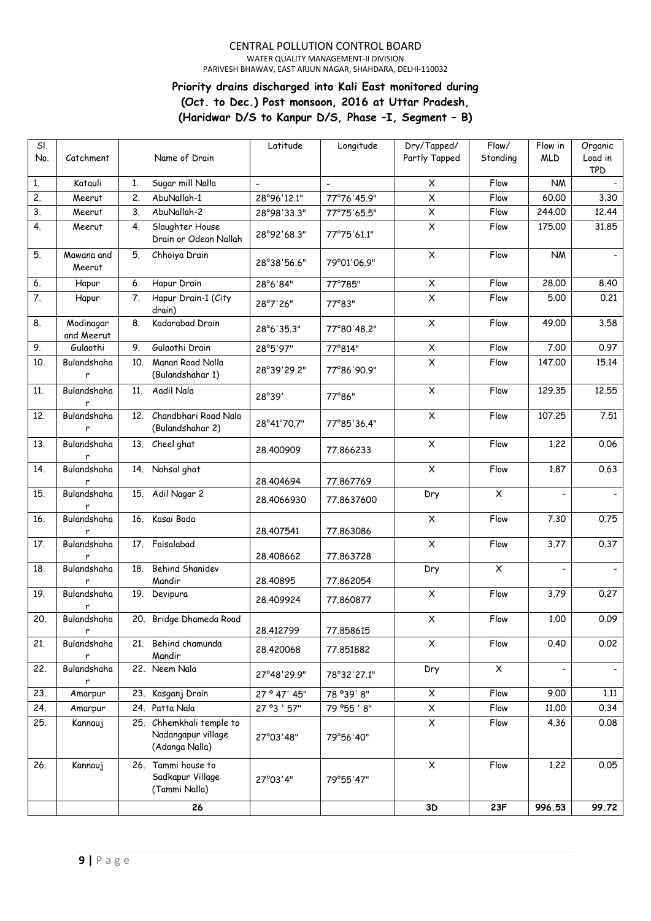#### CENTRAL POLLUTION CONTROL BOARD WATER QUALITY MANAGEMENT-II DIVISION

PARIVESH BHAWAV, EAST ARJUN NAGAR, SHAHDARA, DELHI-110032

# **Priority drains discharged into Kali East monitored during (Oct. to Dec.) Post monsoon, 2016 at Uttar Pradesh, (Haridwar D/S to Kanpur D/S, Phase –I, Segment – B)**

| SI.<br>No. | Catchment               |                | Name of Drain                                                    | Latitude     | Longitude   | Dry/Tapped/<br>Partly Tapped | Flow/<br>Standing | Flow in<br><b>MLD</b>    | Organic<br>Load in<br><b>TPD</b> |
|------------|-------------------------|----------------|------------------------------------------------------------------|--------------|-------------|------------------------------|-------------------|--------------------------|----------------------------------|
| 1.         | Katauli                 | 1 <sub>1</sub> | Sugar mill Nalla                                                 |              |             | $\pmb{\times}$               | Flow              | <b>NM</b>                |                                  |
| 2.         | Meerut                  | 2.             | AbuNallah-1                                                      | 28°96'12.1"  | 77°76'45.9" | X                            | Flow              | 60.00                    | 3.30                             |
| 3.         | Meerut                  | 3.             | AbuNallah-2                                                      | 28°98'33.3"  | 77°75'65.5" | $\pmb{\times}$               | Flow              | 244,00                   | 12.44                            |
| 4.         | Meerut                  | 4.             | Slaughter House<br>Drain or Odean Nallah                         | 28°92'68.3"  | 77°75'61.1" | $\pmb{\times}$               | Flow              | 175.00                   | 31.85                            |
| 5.         | Mawana and<br>Meerut    | 5.             | Chhoiya Drain                                                    | 28°38'56.6"  | 79°01'06.9" | X                            | Flow              | <b>NM</b>                |                                  |
| 6.         | Hapur                   | 6.             | Hapur Drain                                                      | 28°6'84"     | 77°785"     | X                            | Flow              | 28.00                    | 8.40                             |
| 7.         | Hapur                   | 7.             | Hapur Drain-1 (City<br>drain)                                    | 28°7'26"     | 77°83"      | $\overline{\mathsf{x}}$      | Flow              | 5.00                     | 0.21                             |
| 8.         | Modinagar<br>and Meerut | 8.             | Kadarabad Drain                                                  | 28°6'35.3"   | 77°80'48.2" | $\pmb{\times}$               | Flow              | 49.00                    | 3.58                             |
| 9.         | Gulaothi                | 9.             | Gulaothi Drain                                                   | 28°5'97"     | 77°814"     | $\pmb{\times}$               | Flow              | 7.00                     | 0.97                             |
| 10.        | Bulandshaha<br>r        | 10.            | Manan Road Nalla<br>(Bulandshahar 1)                             | 28°39'29.2"  | 77°86'90.9" | $\pmb{\times}$               | Flow              | 147.00                   | 15.14                            |
| 11.        | Bulandshaha<br>r        | 11.            | Aadil Nala                                                       | 28°39'       | 77°86"      | $\pmb{\times}$               | Flow              | 129.35                   | 12.55                            |
| 12.        | Bulandshaha<br>r        | 12.            | Chandbhari Road Nala<br>(Bulandshahar 2)                         | 28°41'70.7"  | 77°85'36.4" | $\pmb{\times}$               | Flow              | 107.25                   | 7.51                             |
| 13.        | Bulandshaha<br>r        |                | 13. Cheel ghat                                                   | 28,400909    | 77.866233   | $\pmb{\times}$               | Flow              | 1.22                     | 0.06                             |
| 14.        | Bulandshaha<br>r        | 14.            | Nahsal ghat                                                      | 28,404694    | 77.867769   | $\pmb{\times}$               | Flow              | 1.87                     | 0.63                             |
| 15.        | Bulandshaha<br>r        |                | 15. Adil Nagar 2                                                 | 28.4066930   | 77.8637600  | Dry                          | $\pmb{\times}$    | $\overline{\phantom{a}}$ |                                  |
| 16.        | Bulandshaha<br>r        | 16.            | Kasai Bada                                                       | 28.407541    | 77.863086   | $\times$                     | Flow              | 7.30                     | 0.75                             |
| 17.        | Bulandshaha<br>r        | 17.            | Faisalabad                                                       | 28.408662    | 77.863728   | $\overline{\mathsf{x}}$      | Flow              | 3.77                     | 0.37                             |
| 18.        | Bulandshaha<br>r        | 18.            | <b>Behind Shanidev</b><br>Mandir                                 | 28.40895     | 77.862054   | Dry                          | $\pmb{\times}$    |                          |                                  |
| 19.        | Bulandshaha<br>r        | 19.            | Devipura                                                         | 28.409924    | 77,860877   | $\pmb{\times}$               | Flow              | 3.79                     | 0.27                             |
| 20.        | Bulandshaha<br>r        |                | 20. Bridge Dhameda Road                                          | 28.412799    | 77.858615   | $\pmb{\times}$               | Flow              | 1.00                     | 0.09                             |
| 21.        | Bulandshaha<br>r        | 21.            | Behind chamunda<br>Mandir                                        | 28.420068    | 77.851882   | X                            | Flow              | 0.40                     | 0.02                             |
| 22.        | Bulandshaha<br>r        |                | 22. Neem Nala                                                    | 27°48'29.9"  | 78°32'27.1" | Dry                          | $\pmb{\times}$    |                          |                                  |
| 23.        | Amarpur                 |                | 23. Kasganj Drain                                                | 27° 47' 45"  | 78 °39' 8"  | $\pmb{\times}$               | Flow              | 9.00                     | 1.11                             |
| 24.        | Amarpur                 |                | 24. Patta Nala                                                   | 27 ° 3 ' 57" | 79 °55 ' 8" | $\pmb{\times}$               | Flow              | 11.00                    | 0.34                             |
| 25.        | Kannauj                 |                | 25. Chhemkhali temple to<br>Nadangapur village<br>(Adanga Nalla) | 27°03'48"    | 79°56'40"   | $\pmb{\times}$               | Flow              | 4.36                     | 0.08                             |
| 26.        | Kannauj                 |                | 26. Tammi house to<br>Sadkapur Village<br>(Tammi Nalla)          | 27°03'4"     | 79°55'47"   | $\pmb{\times}$               | Flow              | 1.22                     | 0.05                             |
|            |                         |                | 26                                                               |              |             | 3D                           | 23F               | 996.53                   | 99.72                            |